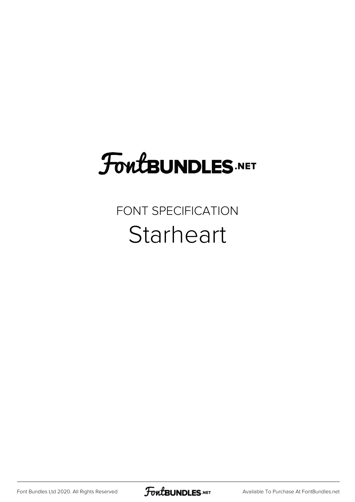## **FoutBUNDLES.NET**

## FONT SPECIFICATION **Starheart**

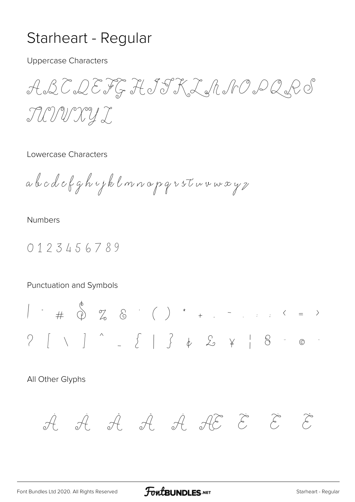## Starheart - Regular

**Uppercase Characters** 

ABCDEFGHJSKLANODQPS TUNNYI

Lowercase Characters

abcdefghojklmnopqvstuvwxyz

**Numbers** 

0123456789

Punctuation and Symbols

All Other Glyphs

$$
\dot{\mathcal{A}}\quad \dot{\mathcal{A}}\quad \dot{\mathcal{A}}\quad \dot{\mathcal{A}}\quad \dot{\mathcal{A}}\quad \dot{\mathcal{A}}\quad \dot{\mathcal{E}}\quad \dot{\mathcal{E}}\quad \dot{\mathcal{E}}\quad \dot{\mathcal{E}}
$$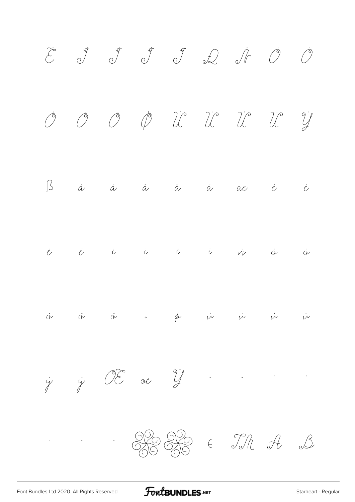

FontBUNDLES.NET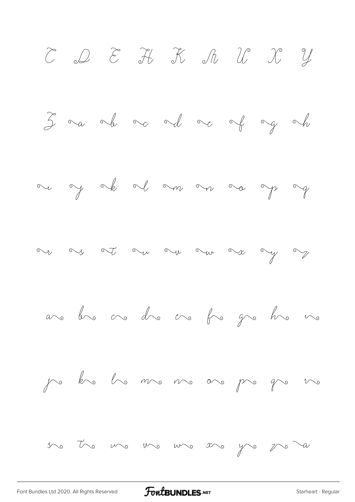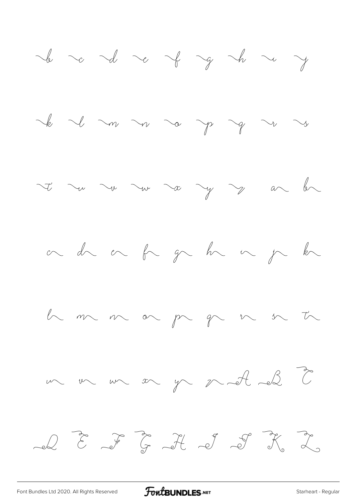![](_page_4_Figure_0.jpeg)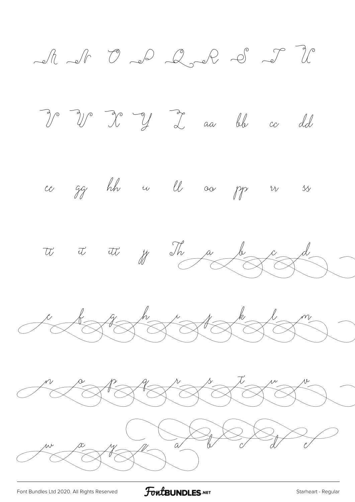A N O D Q D D D P I W I y I aa bb co dd ce gg hh u ll oa pp r sy tt tt tt fra da de  $\frac{d}{d} \frac{d}{d} \frac{d}{d} \frac{d}{d} \frac{d}{d} \frac{d}{d} \frac{d}{d} \frac{d}{d} \frac{d}{d} \frac{d}{d} \frac{d}{d} \frac{d}{d} \frac{d}{d} \frac{d}{d} \frac{d}{d} \frac{d}{d} \frac{d}{d} \frac{d}{d} \frac{d}{d} \frac{d}{d} \frac{d}{d} \frac{d}{d} \frac{d}{d} \frac{d}{d} \frac{d}{d} \frac{d}{d} \frac{d}{d} \frac{d}{d} \frac{d}{d} \frac{d}{d} \frac{d}{d} \frac{$ a composition de la famille  $\frac{1}{4}$ 

![](_page_5_Picture_2.jpeg)